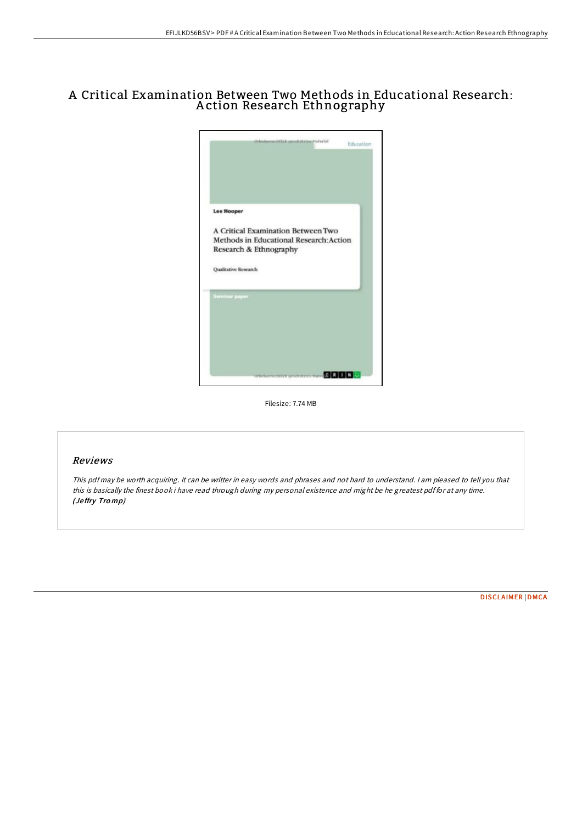## A Critical Examination Between Two Methods in Educational Research: A ction Research Ethnography



Filesize: 7.74 MB

## Reviews

This pdf may be worth acquiring. It can be writter in easy words and phrases and not hard to understand. <sup>I</sup> am pleased to tell you that this is basically the finest book i have read through during my personal existence and might be he greatest pdf for at any time. (Je ffry Tro mp)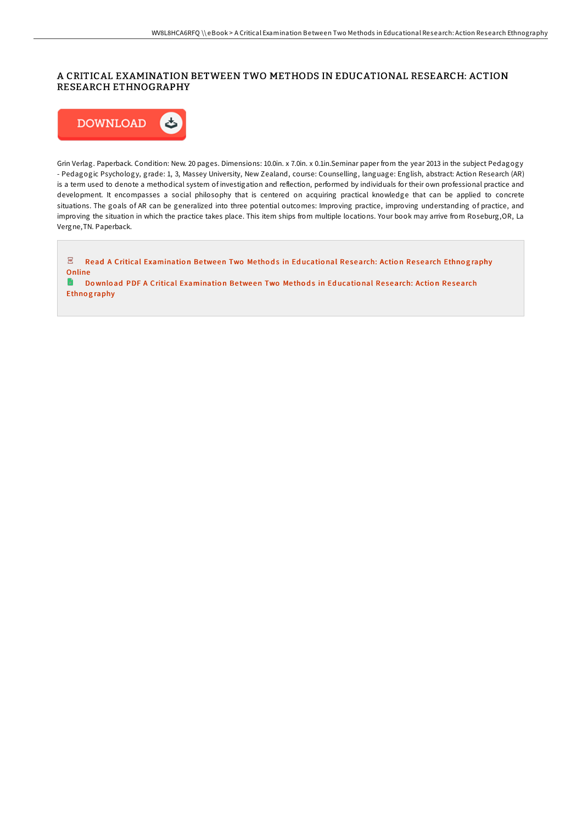## A CRITICAL EXAMINATION BETWEEN TWO METHODS IN EDUCATIONAL RESEARCH: ACTION RESEARCH ETHNOGRAPHY



Grin Verlag. Paperback. Condition: New. 20 pages. Dimensions: 10.0in. x 7.0in. x 0.1in.Seminar paper from the year 2013 in the subject Pedagogy - Pedagogic Psychology, grade: 1, 3, Massey University, New Zealand, course: Counselling, language: English, abstract: Action Research (AR) is a term used to denote a methodical system of investigation and reflection, performed by individuals for their own professional practice and development. It encompasses a social philosophy that is centered on acquiring practical knowledge that can be applied to concrete situations. The goals of AR can be generalized into three potential outcomes: Improving practice, improving understanding of practice, and improving the situation in which the practice takes place. This item ships from multiple locations. Your book may arrive from Roseburg,OR, La Vergne,TN. Paperback.

 $\overline{\mathrm{pos}}$ Read A Critical [Examinatio](http://almighty24.tech/a-critical-examination-between-two-methods-in-ed.html)n Between Two Methods in Educational Research: Action Research Ethnography **Online D** Download PDF A Critical [Examinatio](http://almighty24.tech/a-critical-examination-between-two-methods-in-ed.html)n Between Two Methods in Educational Research: Action Research

**Ethnography**